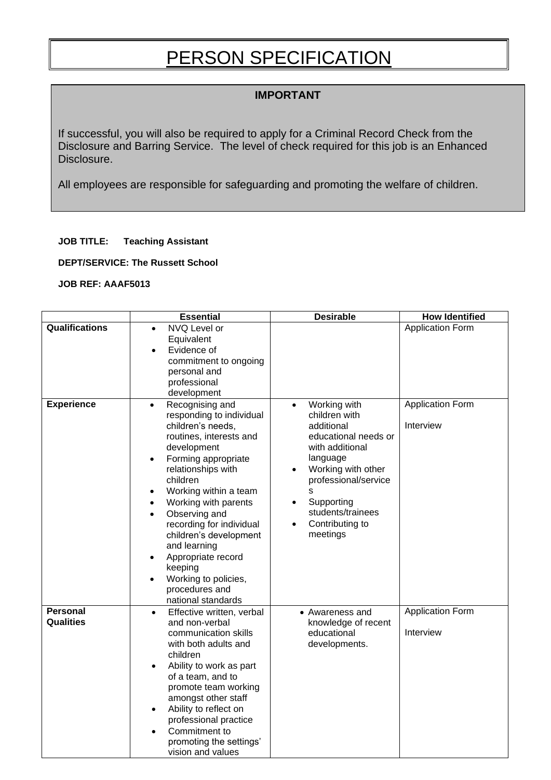## PERSON SPECIFICATION

## **IMPORTANT**

If successful, you will also be required to apply for a Criminal Record Check from the Disclosure and Barring Service. The level of check required for this job is an Enhanced Disclosure.

All employees are responsible for safeguarding and promoting the welfare of children.

## **JOB TITLE: Teaching Assistant**

**DEPT/SERVICE: The Russett School** 

## **JOB REF: AAAF5013**

|                                     | <b>Essential</b>                                                                                                                                                                                                                                                                                                                                                                                                                       | <b>Desirable</b>                                                                                                                                                                                                                                                            | <b>How Identified</b>                |
|-------------------------------------|----------------------------------------------------------------------------------------------------------------------------------------------------------------------------------------------------------------------------------------------------------------------------------------------------------------------------------------------------------------------------------------------------------------------------------------|-----------------------------------------------------------------------------------------------------------------------------------------------------------------------------------------------------------------------------------------------------------------------------|--------------------------------------|
| <b>Qualifications</b>               | NVQ Level or<br>$\bullet$<br>Equivalent<br>Evidence of<br>$\bullet$<br>commitment to ongoing<br>personal and<br>professional<br>development                                                                                                                                                                                                                                                                                            |                                                                                                                                                                                                                                                                             | <b>Application Form</b>              |
| <b>Experience</b>                   | Recognising and<br>$\bullet$<br>responding to individual<br>children's needs,<br>routines, interests and<br>development<br>Forming appropriate<br>relationships with<br>children<br>Working within a team<br>Working with parents<br>Observing and<br>$\bullet$<br>recording for individual<br>children's development<br>and learning<br>Appropriate record<br>keeping<br>Working to policies,<br>procedures and<br>national standards | Working with<br>$\bullet$<br>children with<br>additional<br>educational needs or<br>with additional<br>language<br>Working with other<br>$\bullet$<br>professional/service<br>S<br>Supporting<br>$\bullet$<br>students/trainees<br>Contributing to<br>$\bullet$<br>meetings | <b>Application Form</b><br>Interview |
| <b>Personal</b><br><b>Qualities</b> | Effective written, verbal<br>$\bullet$<br>and non-verbal<br>communication skills<br>with both adults and<br>children<br>Ability to work as part<br>of a team, and to<br>promote team working<br>amongst other staff<br>Ability to reflect on<br>professional practice<br>Commitment to<br>$\bullet$<br>promoting the settings'<br>vision and values                                                                                    | • Awareness and<br>knowledge of recent<br>educational<br>developments.                                                                                                                                                                                                      | <b>Application Form</b><br>Interview |